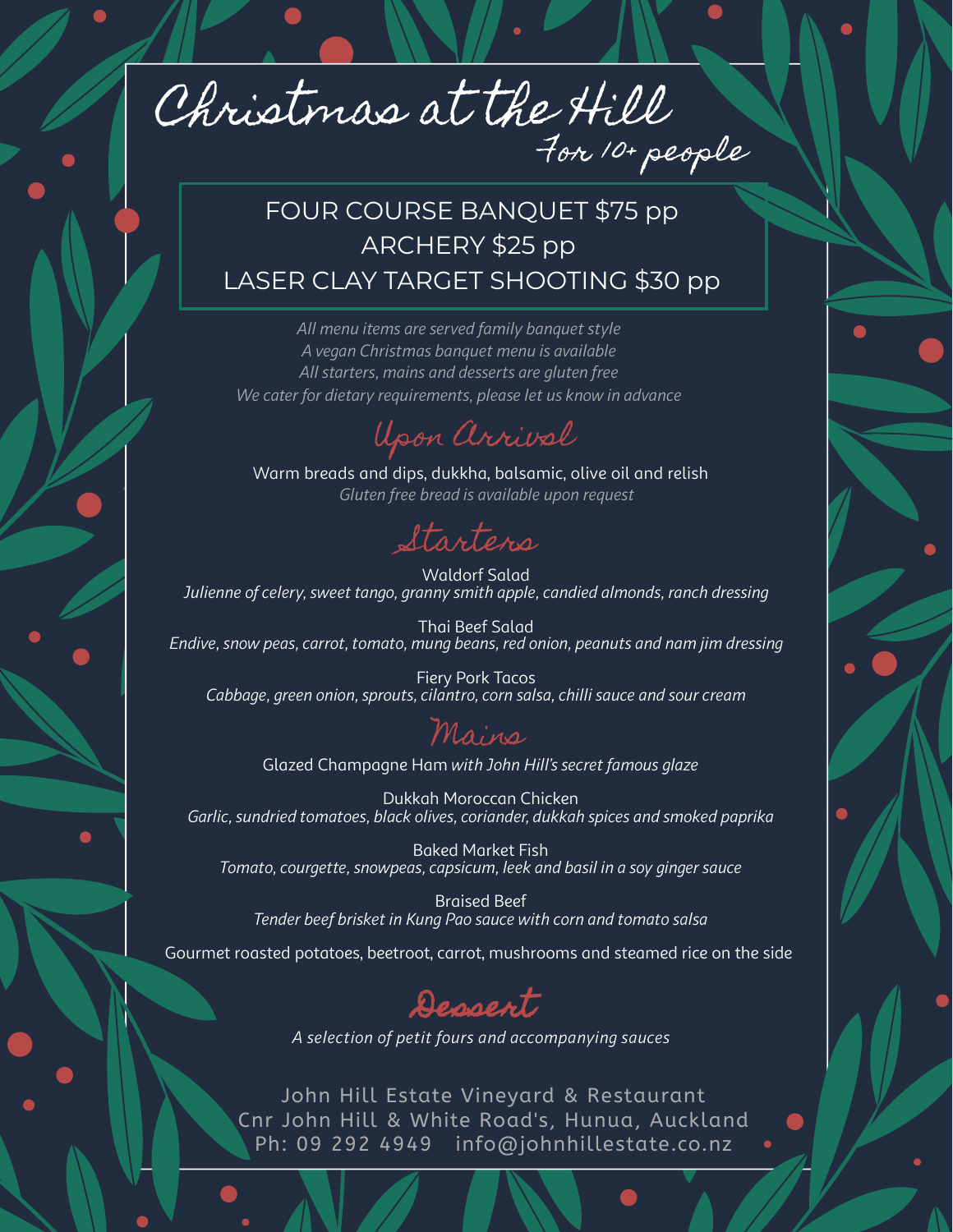Christmas at the Hill For 10+ people

## FOUR COURSE BANQUET \$75 pp ARCHERY \$25 pp LASER CLAY TARGET SHOOTING \$30 pp

*All menu items are served family banquet style A vegan Christmas banquet menu is available All starters, mains and desserts are gluten free We cater for dietary requirements, please let us know in advance*



Warm breads and dips, dukkha, balsamic, olive oil and relish *Gluten free bread is available upon request*

Starters

Waldorf Salad *Julienne of celery, sweet tango, granny smith apple, candied almonds, ranch dressing*

Thai Beef Salad *Endive, snow peas, carrot, tomato, mung beans, red onion, peanuts and nam jim dressing*

Fiery Pork Tacos *Cabbage, green onion, sprouts, cilantro, corn salsa, chilli sauce and sour cream*

## Mains

Glazed Champagne Ham *with John Hill's secret famous glaze*

Dukkah Moroccan Chicken *Garlic, sundried tomatoes, black olives, coriander, dukkah spices and smoked paprika*

Baked Market Fish *Tomato, courgette, snowpeas, capsicum, leek and basil in a soy ginger sauce*

Braised Beef *Tender beef brisket in Kung Pao sauce with corn and tomato salsa*

Gourmet roasted potatoes, beetroot, carrot, mushrooms and steamed rice on the side



*A selection of petit fours and accompanying sauces*

John Hill Estate Vineyard & Restaurant Cnr John Hill & White Road's, Hunua, Auckland Ph: 09 292 4949 info@johnhillestate.co.nz